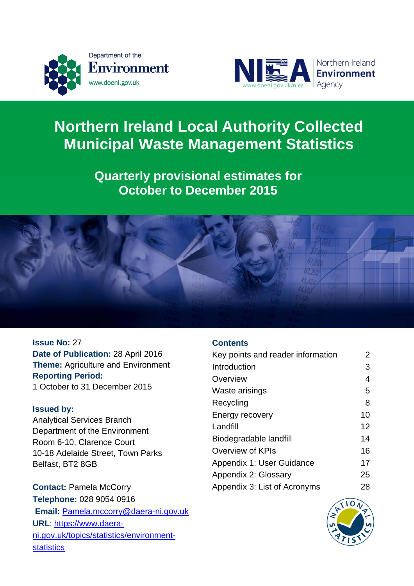



# **Northern Ireland Local Authority Collected Municipal Waste Management Statistics**

# **Quarterly provisional estimates for October to December 2015**



**Issue No:** 27 **Date of Publication:** 28 April 2016 **Theme:** Agriculture and Environment **Reporting Period:**  1 October to 31 December 2015

## **Issued by:**

Analytical Services Branch Department of the Environment Room 6-10, Clarence Court 10-18 Adelaide Street, Town Parks Belfast, BT2 8GB

**Contact:** Pamela McCorry **Telephone:** 028 9054 0916  **Email:** [Pamela.mccorry@daera-ni.gov.uk](mailto:Pamela.mccorry@daera-ni.gov.uk) **URL**: [https://www.daera](https://www.daera-ni.gov.uk/topics/statistics/environment-statistics)[ni.gov.uk/topics/statistics/environment](https://www.daera-ni.gov.uk/topics/statistics/environment-statistics)[statistics](https://www.daera-ni.gov.uk/topics/statistics/environment-statistics) 

## **Contents**

| Key points and reader information | 2  |
|-----------------------------------|----|
| Introduction                      | 3  |
| Overview                          | 4  |
| Waste arisings                    | 5  |
| Recycling                         | 8  |
| Energy recovery                   | 10 |
| Landfill                          | 12 |
| Biodegradable landfill            | 14 |
| Overview of KPIs                  | 16 |
| Appendix 1: User Guidance         | 17 |
| Appendix 2: Glossary              | 25 |
| Appendix 3: List of Acronyms      | 28 |

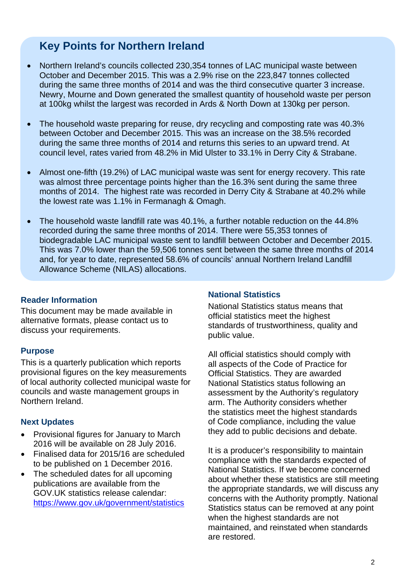# **Key Points for Northern Ireland**

- Northern Ireland's councils collected 230,354 tonnes of LAC municipal waste between October and December 2015. This was a 2.9% rise on the 223,847 tonnes collected during the same three months of 2014 and was the third consecutive quarter 3 increase. Newry, Mourne and Down generated the smallest quantity of household waste per person at 100kg whilst the largest was recorded in Ards & North Down at 130kg per person.
- The household waste preparing for reuse, dry recycling and composting rate was 40.3% between October and December 2015. This was an increase on the 38.5% recorded during the same three months of 2014 and returns this series to an upward trend. At council level, rates varied from 48.2% in Mid Ulster to 33.1% in Derry City & Strabane.
- Almost one-fifth (19.2%) of LAC municipal waste was sent for energy recovery. This rate was almost three percentage points higher than the 16.3% sent during the same three months of 2014. The highest rate was recorded in Derry City & Strabane at 40.2% while the lowest rate was 1.1% in Fermanagh & Omagh.
- The household waste landfill rate was 40.1%, a further notable reduction on the 44.8% recorded during the same three months of 2014. There were 55,353 tonnes of biodegradable LAC municipal waste sent to landfill between October and December 2015. This was 7.0% lower than the 59,506 tonnes sent between the same three months of 2014 and, for year to date, represented 58.6% of councils' annual Northern Ireland Landfill Allowance Scheme (NILAS) allocations.

## **Reader Information**

This document may be made available in alternative formats, please contact us to discuss your requirements.

#### **Purpose**

This is a quarterly publication which reports provisional figures on the key measurements of local authority collected municipal waste for councils and waste management groups in Northern Ireland.

#### **Next Updates**

- Provisional figures for January to March 2016 will be available on 28 July 2016.
- Finalised data for 2015/16 are scheduled to be published on 1 December 2016.
- The scheduled dates for all upcoming publications are available from the GOV.UK statistics release calendar: <https://www.gov.uk/government/statistics>

## **National Statistics**

National Statistics status means that official statistics meet the highest standards of trustworthiness, quality and public value.

All official statistics should comply with all aspects of the Code of Practice for Official Statistics. They are awarded National Statistics status following an assessment by the Authority's regulatory arm. The Authority considers whether the statistics meet the highest standards of Code compliance, including the value they add to public decisions and debate.

It is a producer's responsibility to maintain compliance with the standards expected of National Statistics. If we become concerned about whether these statistics are still meeting the appropriate standards, we will discuss any concerns with the Authority promptly. National Statistics status can be removed at any point when the highest standards are not maintained, and reinstated when standards are restored.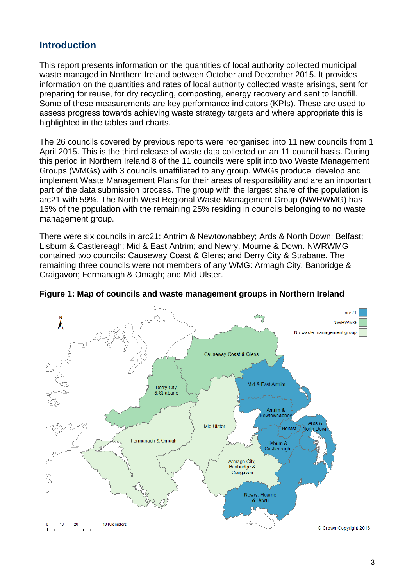# **Introduction**

This report presents information on the quantities of local authority collected municipal waste managed in Northern Ireland between October and December 2015. It provides information on the quantities and rates of local authority collected waste arisings, sent for preparing for reuse, for dry recycling, composting, energy recovery and sent to landfill. Some of these measurements are key performance indicators (KPIs). These are used to assess progress towards achieving waste strategy targets and where appropriate this is highlighted in the tables and charts.

The 26 councils covered by previous reports were reorganised into 11 new councils from 1 April 2015. This is the third release of waste data collected on an 11 council basis. During this period in Northern Ireland 8 of the 11 councils were split into two Waste Management Groups (WMGs) with 3 councils unaffiliated to any group. WMGs produce, develop and implement Waste Management Plans for their areas of responsibility and are an important part of the data submission process. The group with the largest share of the population is arc21 with 59%. The North West Regional Waste Management Group (NWRWMG) has 16% of the population with the remaining 25% residing in councils belonging to no waste management group.

There were six councils in arc21: Antrim & Newtownabbey; Ards & North Down; Belfast; Lisburn & Castlereagh; Mid & East Antrim; and Newry, Mourne & Down. NWRWMG contained two councils: Causeway Coast & Glens; and Derry City & Strabane. The remaining three councils were not members of any WMG: Armagh City, Banbridge & Craigavon; Fermanagh & Omagh; and Mid Ulster.



#### **Figure 1: Map of councils and waste management groups in Northern Ireland**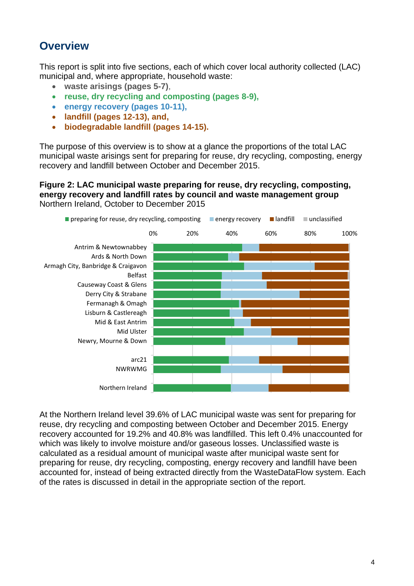# **Overview**

This report is split into five sections, each of which cover local authority collected (LAC) municipal and, where appropriate, household waste:

- **waste arisings (pages 5-7)**,
- **reuse, dry recycling and composting (pages 8-9),**
- **energy recovery (pages 10-11),**
- **landfill (pages 12-13), and,**
- **biodegradable landfill (pages 14-15).**

The purpose of this overview is to show at a glance the proportions of the total LAC municipal waste arisings sent for preparing for reuse, dry recycling, composting, energy recovery and landfill between October and December 2015.

### **Figure 2: LAC municipal waste preparing for reuse, dry recycling, composting, energy recovery and landfill rates by council and waste management group**  Northern Ireland, October to December 2015



At the Northern Ireland level 39.6% of LAC municipal waste was sent for preparing for reuse, dry recycling and composting between October and December 2015. Energy recovery accounted for 19.2% and 40.8% was landfilled. This left 0.4% unaccounted for which was likely to involve moisture and/or gaseous losses. Unclassified waste is calculated as a residual amount of municipal waste after municipal waste sent for preparing for reuse, dry recycling, composting, energy recovery and landfill have been accounted for, instead of being extracted directly from the WasteDataFlow system. Each of the rates is discussed in detail in the appropriate section of the report.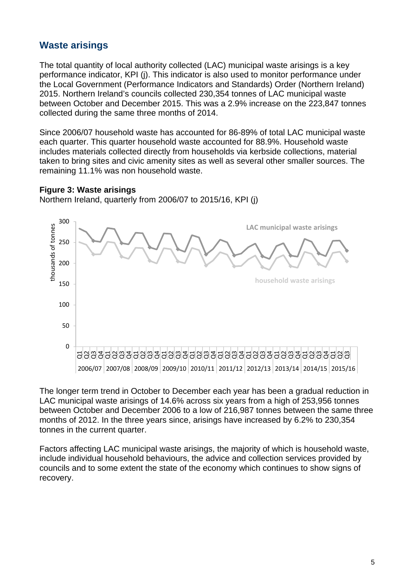# **Waste arisings**

The total quantity of local authority collected (LAC) municipal waste arisings is a key performance indicator, KPI (j). This indicator is also used to monitor performance under the Local Government (Performance Indicators and Standards) Order (Northern Ireland) 2015. Northern Ireland's councils collected 230,354 tonnes of LAC municipal waste between October and December 2015. This was a 2.9% increase on the 223,847 tonnes collected during the same three months of 2014.

Since 2006/07 household waste has accounted for 86-89% of total LAC municipal waste each quarter. This quarter household waste accounted for 88.9%. Household waste includes materials collected directly from households via kerbside collections, material taken to bring sites and civic amenity sites as well as several other smaller sources. The remaining 11.1% was non household waste.

## **Figure 3: Waste arisings**

Northern Ireland, quarterly from 2006/07 to 2015/16, KPI (j)



The longer term trend in October to December each year has been a gradual reduction in LAC municipal waste arisings of 14.6% across six years from a high of 253,956 tonnes between October and December 2006 to a low of 216,987 tonnes between the same three months of 2012. In the three years since, arisings have increased by 6.2% to 230,354 tonnes in the current quarter.

Factors affecting LAC municipal waste arisings, the majority of which is household waste, include individual household behaviours, the advice and collection services provided by councils and to some extent the state of the economy which continues to show signs of recovery.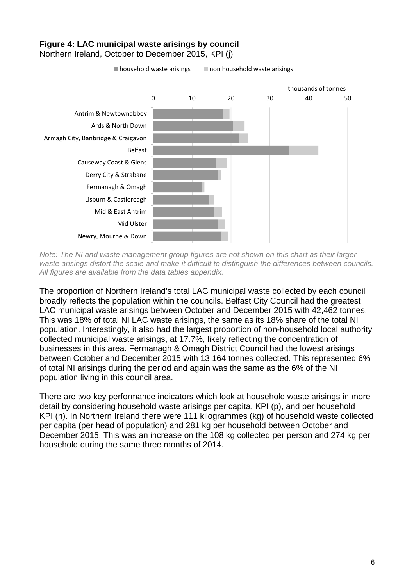# **Figure 4: LAC municipal waste arisings by council**

Northern Ireland, October to December 2015, KPI (j)

 $\blacksquare$  household waste arisings  $\blacksquare$  non household waste arisings



*Note: The NI and waste management group figures are not shown on this chart as their larger waste arisings distort the scale and make it difficult to distinguish the differences between councils. All figures are available from the data tables appendix.* 

The proportion of Northern Ireland's total LAC municipal waste collected by each council broadly reflects the population within the councils. Belfast City Council had the greatest LAC municipal waste arisings between October and December 2015 with 42,462 tonnes. This was 18% of total NI LAC waste arisings, the same as its 18% share of the total NI population. Interestingly, it also had the largest proportion of non-household local authority collected municipal waste arisings, at 17.7%, likely reflecting the concentration of businesses in this area. Fermanagh & Omagh District Council had the lowest arisings between October and December 2015 with 13,164 tonnes collected. This represented 6% of total NI arisings during the period and again was the same as the 6% of the NI population living in this council area.

There are two key performance indicators which look at household waste arisings in more detail by considering household waste arisings per capita, KPI (p), and per household KPI (h). In Northern Ireland there were 111 kilogrammes (kg) of household waste collected per capita (per head of population) and 281 kg per household between October and December 2015. This was an increase on the 108 kg collected per person and 274 kg per household during the same three months of 2014.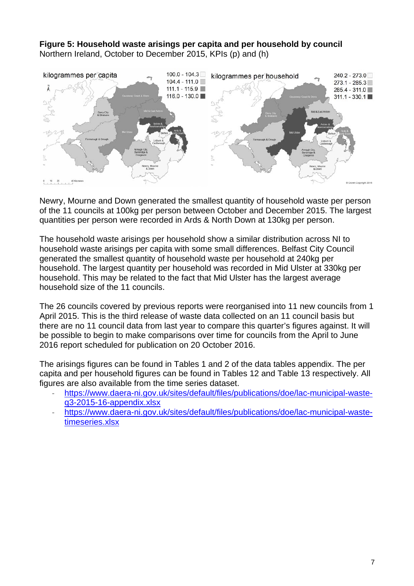**Figure 5: Household waste arisings per capita and per household by council**  Northern Ireland, October to December 2015, KPIs (p) and (h)



Newry, Mourne and Down generated the smallest quantity of household waste per person of the 11 councils at 100kg per person between October and December 2015. The largest quantities per person were recorded in Ards & North Down at 130kg per person.

The household waste arisings per household show a similar distribution across NI to household waste arisings per capita with some small differences. Belfast City Council generated the smallest quantity of household waste per household at 240kg per household. The largest quantity per household was recorded in Mid Ulster at 330kg per household. This may be related to the fact that Mid Ulster has the largest average household size of the 11 councils.

The 26 councils covered by previous reports were reorganised into 11 new councils from 1 April 2015. This is the third release of waste data collected on an 11 council basis but there are no 11 council data from last year to compare this quarter's figures against. It will be possible to begin to make comparisons over time for councils from the April to June 2016 report scheduled for publication on 20 October 2016.

The arisings figures can be found in Tables 1 and 2 of the data tables appendix. The per capita and per household figures can be found in Tables 12 and Table 13 respectively. All figures are also available from the time series dataset.

- [https://www.daera-ni.gov.uk/sites/default/files/publications/doe/lac-municipal-waste](https://www.daera-ni.gov.uk/sites/default/files/publications/doe/lac-municipal-waste-q3-2015-16-appendix.xlsx)[q3-2015-16-appendix.xlsx](https://www.daera-ni.gov.uk/sites/default/files/publications/doe/lac-municipal-waste-q3-2015-16-appendix.xlsx)
- [https://www.daera-ni.gov.uk/sites/default/files/publications/doe/lac-municipal-waste](https://www.daera-ni.gov.uk/sites/default/files/publications/doe/lac-municipal-waste-timeseries.xlsx)[timeseries.xlsx](https://www.daera-ni.gov.uk/sites/default/files/publications/doe/lac-municipal-waste-timeseries.xlsx)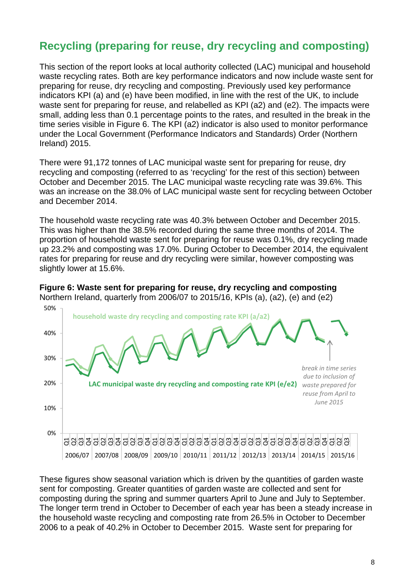# **Recycling (preparing for reuse, dry recycling and composting)**

This section of the report looks at local authority collected (LAC) municipal and household waste recycling rates. Both are key performance indicators and now include waste sent for preparing for reuse, dry recycling and composting. Previously used key performance indicators KPI (a) and (e) have been modified, in line with the rest of the UK, to include waste sent for preparing for reuse, and relabelled as KPI (a2) and (e2). The impacts were small, adding less than 0.1 percentage points to the rates, and resulted in the break in the time series visible in Figure 6. The KPI (a2) indicator is also used to monitor performance under the Local Government (Performance Indicators and Standards) Order (Northern Ireland) 2015.

There were 91,172 tonnes of LAC municipal waste sent for preparing for reuse, dry recycling and composting (referred to as 'recycling' for the rest of this section) between October and December 2015. The LAC municipal waste recycling rate was 39.6%. This was an increase on the 38.0% of LAC municipal waste sent for recycling between October and December 2014.

The household waste recycling rate was 40.3% between October and December 2015. This was higher than the 38.5% recorded during the same three months of 2014. The proportion of household waste sent for preparing for reuse was 0.1%, dry recycling made up 23.2% and composting was 17.0%. During October to December 2014, the equivalent rates for preparing for reuse and dry recycling were similar, however composting was slightly lower at 15.6%.





These figures show seasonal variation which is driven by the quantities of garden waste sent for composting. Greater quantities of garden waste are collected and sent for composting during the spring and summer quarters April to June and July to September. The longer term trend in October to December of each year has been a steady increase in the household waste recycling and composting rate from 26.5% in October to December 2006 to a peak of 40.2% in October to December 2015. Waste sent for preparing for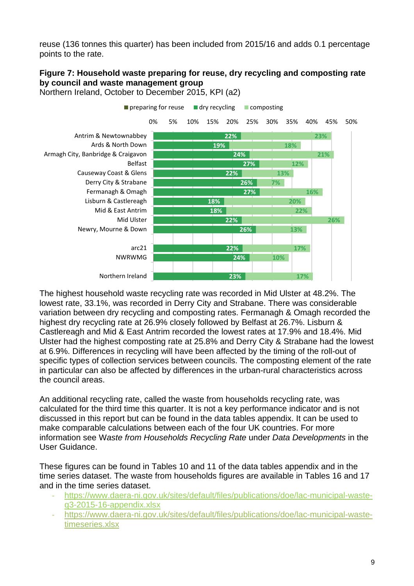reuse (136 tonnes this quarter) has been included from 2015/16 and adds 0.1 percentage points to the rate.

# **Figure 7: Household waste preparing for reuse, dry recycling and composting rate by council and waste management group**



Northern Ireland, October to December 2015, KPI (a2)

The highest household waste recycling rate was recorded in Mid Ulster at 48.2%. The lowest rate, 33.1%, was recorded in Derry City and Strabane. There was considerable variation between dry recycling and composting rates. Fermanagh & Omagh recorded the highest dry recycling rate at 26.9% closely followed by Belfast at 26.7%. Lisburn & Castlereagh and Mid & East Antrim recorded the lowest rates at 17.9% and 18.4%. Mid Ulster had the highest composting rate at 25.8% and Derry City & Strabane had the lowest at 6.9%. Differences in recycling will have been affected by the timing of the roll-out of specific types of collection services between councils. The composting element of the rate in particular can also be affected by differences in the urban-rural characteristics across the council areas.

An additional recycling rate, called the waste from households recycling rate, was calculated for the third time this quarter. It is not a key performance indicator and is not discussed in this report but can be found in the data tables appendix. It can be used to make comparable calculations between each of the four UK countries. For more information see W*aste from Households Recycling Rate* under *Data Developments* in the User Guidance.

These figures can be found in Tables 10 and 11 of the data tables appendix and in the time series dataset. The waste from households figures are available in Tables 16 and 17 and in the time series dataset.

- ‐ [https://www.daera-ni.gov.uk/sites/default/files/publications/doe/lac-municipal-waste](https://www.daera-ni.gov.uk/sites/default/files/publications/doe/lac-municipal-waste-q3-2015-16-appendix.xlsx)[q3-2015-16-appendix.xlsx](https://www.daera-ni.gov.uk/sites/default/files/publications/doe/lac-municipal-waste-q3-2015-16-appendix.xlsx)
- ‐ [https://www.daera-ni.gov.uk/sites/default/files/publications/doe/lac-municipal-waste](https://www.daera-ni.gov.uk/sites/default/files/publications/doe/lac-municipal-waste-timeseries.xlsx)[timeseries.xlsx](https://www.daera-ni.gov.uk/sites/default/files/publications/doe/lac-municipal-waste-timeseries.xlsx)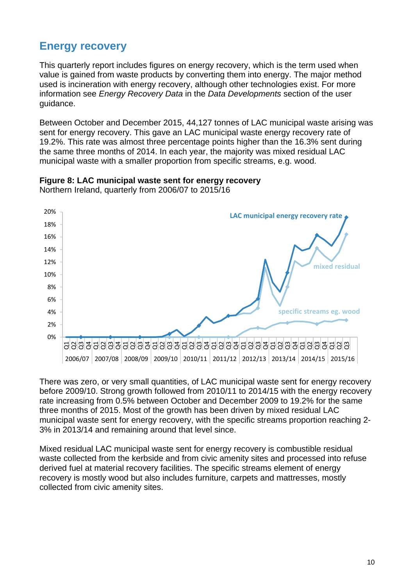# **Energy recovery**

This quarterly report includes figures on energy recovery, which is the term used when value is gained from waste products by converting them into energy. The major method used is incineration with energy recovery, although other technologies exist. For more information see *Energy Recovery Data* in the *Data Developments* section of the user guidance.

Between October and December 2015, 44,127 tonnes of LAC municipal waste arising was sent for energy recovery. This gave an LAC municipal waste energy recovery rate of 19.2%. This rate was almost three percentage points higher than the 16.3% sent during the same three months of 2014. In each year, the majority was mixed residual LAC municipal waste with a smaller proportion from specific streams, e.g. wood.



**Figure 8: LAC municipal waste sent for energy recovery** 

Northern Ireland, quarterly from 2006/07 to 2015/16

There was zero, or very small quantities, of LAC municipal waste sent for energy recovery before 2009/10. Strong growth followed from 2010/11 to 2014/15 with the energy recovery rate increasing from 0.5% between October and December 2009 to 19.2% for the same three months of 2015. Most of the growth has been driven by mixed residual LAC municipal waste sent for energy recovery, with the specific streams proportion reaching 2- 3% in 2013/14 and remaining around that level since.

Mixed residual LAC municipal waste sent for energy recovery is combustible residual waste collected from the kerbside and from civic amenity sites and processed into refuse derived fuel at material recovery facilities. The specific streams element of energy recovery is mostly wood but also includes furniture, carpets and mattresses, mostly collected from civic amenity sites.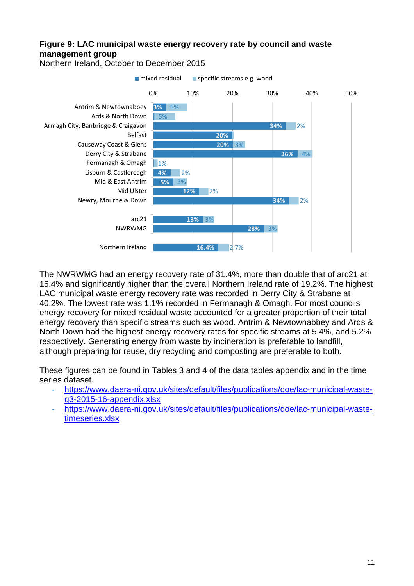# **Figure 9: LAC municipal waste energy recovery rate by council and waste management group**



Northern Ireland, October to December 2015

The NWRWMG had an energy recovery rate of 31.4%, more than double that of arc21 at 15.4% and significantly higher than the overall Northern Ireland rate of 19.2%. The highest LAC municipal waste energy recovery rate was recorded in Derry City & Strabane at 40.2%. The lowest rate was 1.1% recorded in Fermanagh & Omagh. For most councils energy recovery for mixed residual waste accounted for a greater proportion of their total energy recovery than specific streams such as wood. Antrim & Newtownabbey and Ards & North Down had the highest energy recovery rates for specific streams at 5.4%, and 5.2% respectively. Generating energy from waste by incineration is preferable to landfill, although preparing for reuse, dry recycling and composting are preferable to both.

These figures can be found in Tables 3 and 4 of the data tables appendix and in the time series dataset.

- ‐ [https://www.daera-ni.gov.uk/sites/default/files/publications/doe/lac-municipal-waste](https://www.daera-ni.gov.uk/sites/default/files/publications/doe/lac-municipal-waste-q3-2015-16-appendix.xlsx)[q3-2015-16-appendix.xlsx](https://www.daera-ni.gov.uk/sites/default/files/publications/doe/lac-municipal-waste-q3-2015-16-appendix.xlsx)
- ‐ [https://www.daera-ni.gov.uk/sites/default/files/publications/doe/lac-municipal-waste](https://www.daera-ni.gov.uk/sites/default/files/publications/doe/lac-municipal-waste-timeseries.xlsx)[timeseries.xlsx](https://www.daera-ni.gov.uk/sites/default/files/publications/doe/lac-municipal-waste-timeseries.xlsx)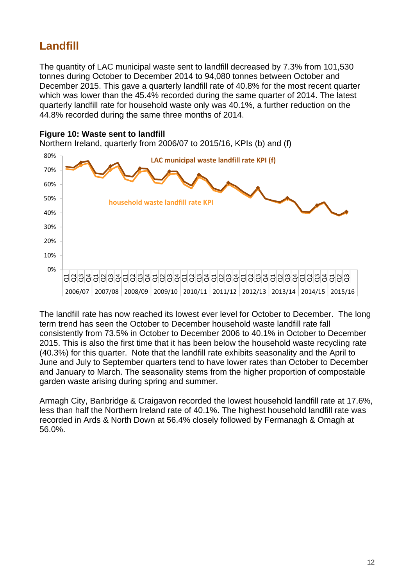# **Landfill**

The quantity of LAC municipal waste sent to landfill decreased by 7.3% from 101,530 tonnes during October to December 2014 to 94,080 tonnes between October and December 2015. This gave a quarterly landfill rate of 40.8% for the most recent quarter which was lower than the 45.4% recorded during the same quarter of 2014. The latest quarterly landfill rate for household waste only was 40.1%, a further reduction on the 44.8% recorded during the same three months of 2014.

# **Figure 10: Waste sent to landfill**

Northern Ireland, quarterly from 2006/07 to 2015/16, KPIs (b) and (f) 0% 10% 20% 30% 40% 50% 60% 70% 80% Q1 Q2 Q3 Q4 Q1 Q2 Q3 Q4 Q1 Q2 Q3 Q4 Q1 Q2 Q3 Q4 Q1 Q2 Q3 Q4 Q1 Q2 Q3 Q4 Q1 Q2 Q3 Q4 Q1 Q2 Q3 Q4 Q1 Q2 Q3 Q4 Q1 Q2 Q3 2006/07 2007/08 2008/09 2009/10 2010/11 2011/12 2012/13 2013/14 2014/15 2015/16 **household waste landfill rate KPI LAC municipal waste landfill rate KPI (f)**

The landfill rate has now reached its lowest ever level for October to December. The long term trend has seen the October to December household waste landfill rate fall consistently from 73.5% in October to December 2006 to 40.1% in October to December 2015. This is also the first time that it has been below the household waste recycling rate (40.3%) for this quarter. Note that the landfill rate exhibits seasonality and the April to June and July to September quarters tend to have lower rates than October to December and January to March. The seasonality stems from the higher proportion of compostable garden waste arising during spring and summer.

Armagh City, Banbridge & Craigavon recorded the lowest household landfill rate at 17.6%, less than half the Northern Ireland rate of 40.1%. The highest household landfill rate was recorded in Ards & North Down at 56.4% closely followed by Fermanagh & Omagh at 56.0%.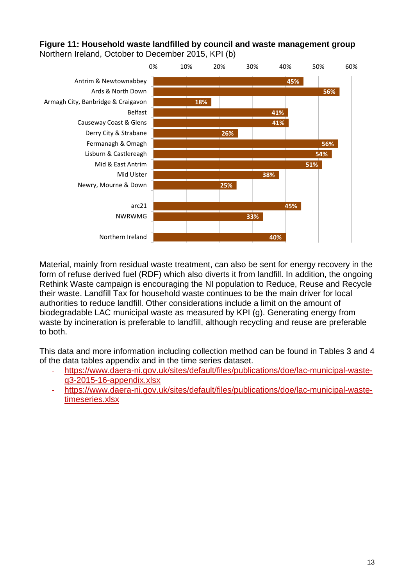## **Figure 11: Household waste landfilled by council and waste management group**  Northern Ireland, October to December 2015, KPI (b)



Material, mainly from residual waste treatment, can also be sent for energy recovery in the form of refuse derived fuel (RDF) which also diverts it from landfill. In addition, the ongoing Rethink Waste campaign is encouraging the NI population to Reduce, Reuse and Recycle their waste. Landfill Tax for household waste continues to be the main driver for local authorities to reduce landfill. Other considerations include a limit on the amount of biodegradable LAC municipal waste as measured by KPI (g). Generating energy from waste by incineration is preferable to landfill, although recycling and reuse are preferable to both.

This data and more information including collection method can be found in Tables 3 and 4 of the data tables appendix and in the time series dataset.

- [https://www.daera-ni.gov.uk/sites/default/files/publications/doe/lac-municipal-waste](https://www.daera-ni.gov.uk/sites/default/files/publications/doe/lac-municipal-waste-q3-2015-16-appendix.xlsx)[q3-2015-16-appendix.xlsx](https://www.daera-ni.gov.uk/sites/default/files/publications/doe/lac-municipal-waste-q3-2015-16-appendix.xlsx)
- ‐ [https://www.daera-ni.gov.uk/sites/default/files/publications/doe/lac-municipal-waste](https://www.daera-ni.gov.uk/sites/default/files/publications/doe/lac-municipal-waste-timeseries.xlsx)[timeseries.xlsx](https://www.daera-ni.gov.uk/sites/default/files/publications/doe/lac-municipal-waste-timeseries.xlsx)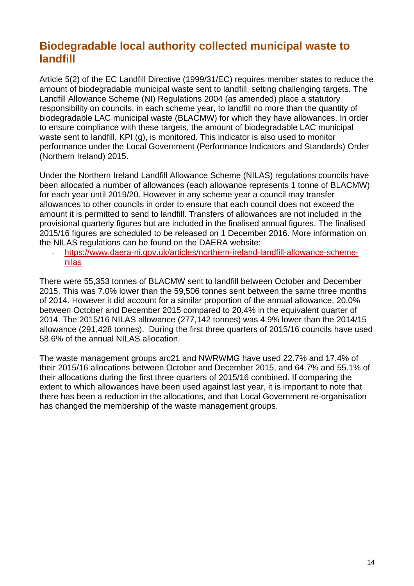# **Biodegradable local authority collected municipal waste to landfill**

Article 5(2) of the EC Landfill Directive (1999/31/EC) requires member states to reduce the amount of biodegradable municipal waste sent to landfill, setting challenging targets. The Landfill Allowance Scheme (NI) Regulations 2004 (as amended) place a statutory responsibility on councils, in each scheme year, to landfill no more than the quantity of biodegradable LAC municipal waste (BLACMW) for which they have allowances. In order to ensure compliance with these targets, the amount of biodegradable LAC municipal waste sent to landfill, KPI (g), is monitored. This indicator is also used to monitor performance under the Local Government (Performance Indicators and Standards) Order (Northern Ireland) 2015.

Under the Northern Ireland Landfill Allowance Scheme (NILAS) regulations councils have been allocated a number of allowances (each allowance represents 1 tonne of BLACMW) for each year until 2019/20. However in any scheme year a council may transfer allowances to other councils in order to ensure that each council does not exceed the amount it is permitted to send to landfill. Transfers of allowances are not included in the provisional quarterly figures but are included in the finalised annual figures. The finalised 2015/16 figures are scheduled to be released on 1 December 2016. More information on the NILAS regulations can be found on the DAERA website:

‐ [https://www.daera-ni.gov.uk/articles/northern-ireland-landfill-allowance-scheme](https://www.daera-ni.gov.uk/articles/northern-ireland-landfill-allowance-scheme-nilas)[nilas](https://www.daera-ni.gov.uk/articles/northern-ireland-landfill-allowance-scheme-nilas)

There were 55,353 tonnes of BLACMW sent to landfill between October and December 2015. This was 7.0% lower than the 59,506 tonnes sent between the same three months of 2014. However it did account for a similar proportion of the annual allowance, 20.0% between October and December 2015 compared to 20.4% in the equivalent quarter of 2014. The 2015/16 NILAS allowance (277,142 tonnes) was 4.9% lower than the 2014/15 allowance (291,428 tonnes). During the first three quarters of 2015/16 councils have used 58.6% of the annual NILAS allocation.

The waste management groups arc21 and NWRWMG have used 22.7% and 17.4% of their 2015/16 allocations between October and December 2015, and 64.7% and 55.1% of their allocations during the first three quarters of 2015/16 combined. If comparing the extent to which allowances have been used against last year, it is important to note that there has been a reduction in the allocations, and that Local Government re-organisation has changed the membership of the waste management groups.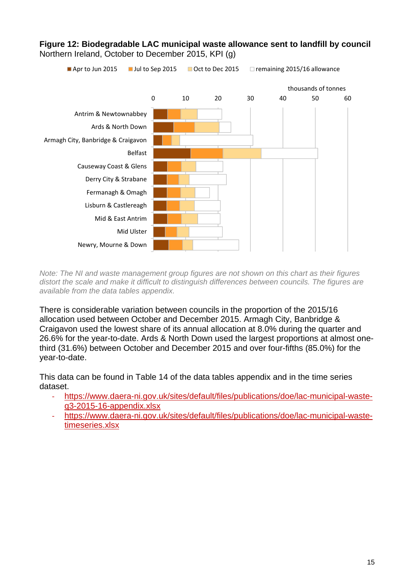

**Figure 12: Biodegradable LAC municipal waste allowance sent to landfill by council**  Northern Ireland, October to December 2015, KPI (g)

*Note: The NI and waste management group figures are not shown on this chart as their figures distort the scale and make it difficult to distinguish differences between councils. The figures are available from the data tables appendix.*

There is considerable variation between councils in the proportion of the 2015/16 allocation used between October and December 2015. Armagh City, Banbridge & Craigavon used the lowest share of its annual allocation at 8.0% during the quarter and 26.6% for the year-to-date. Ards & North Down used the largest proportions at almost onethird (31.6%) between October and December 2015 and over four-fifths (85.0%) for the year-to-date.

This data can be found in Table 14 of the data tables appendix and in the time series dataset.

- ‐ [https://www.daera-ni.gov.uk/sites/default/files/publications/doe/lac-municipal-waste](https://www.daera-ni.gov.uk/sites/default/files/publications/doe/lac-municipal-waste-q3-2015-16-appendix.xlsx)[q3-2015-16-appendix.xlsx](https://www.daera-ni.gov.uk/sites/default/files/publications/doe/lac-municipal-waste-q3-2015-16-appendix.xlsx)
- ‐ [https://www.daera-ni.gov.uk/sites/default/files/publications/doe/lac-municipal-waste](https://www.daera-ni.gov.uk/sites/default/files/publications/doe/lac-municipal-waste-timeseries.xlsx)[timeseries.xlsx](https://www.daera-ni.gov.uk/sites/default/files/publications/doe/lac-municipal-waste-timeseries.xlsx)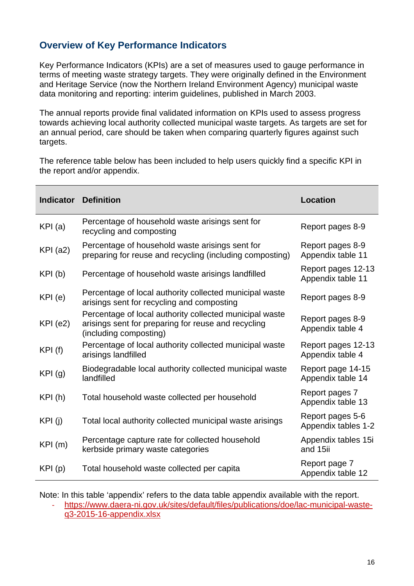# **Overview of Key Performance Indicators**

Key Performance Indicators (KPIs) are a set of measures used to gauge performance in terms of meeting waste strategy targets. They were originally defined in the Environment and Heritage Service (now the Northern Ireland Environment Agency) municipal waste data monitoring and reporting: interim guidelines, published in March 2003.

The annual reports provide final validated information on KPIs used to assess progress towards achieving local authority collected municipal waste targets. As targets are set for an annual period, care should be taken when comparing quarterly figures against such targets.

The reference table below has been included to help users quickly find a specific KPI in the report and/or appendix.

| <b>Indicator</b> | <b>Definition</b>                                                                                                                        | <b>Location</b>                         |
|------------------|------------------------------------------------------------------------------------------------------------------------------------------|-----------------------------------------|
| KPI(a)           | Percentage of household waste arisings sent for<br>recycling and composting                                                              | Report pages 8-9                        |
| $KPI$ (a2)       | Percentage of household waste arisings sent for<br>preparing for reuse and recycling (including composting)                              | Report pages 8-9<br>Appendix table 11   |
| KPI(b)           | Percentage of household waste arisings landfilled                                                                                        | Report pages 12-13<br>Appendix table 11 |
| KPI (e)          | Percentage of local authority collected municipal waste<br>arisings sent for recycling and composting                                    | Report pages 8-9                        |
| $KPI$ (e2)       | Percentage of local authority collected municipal waste<br>arisings sent for preparing for reuse and recycling<br>(including composting) | Report pages 8-9<br>Appendix table 4    |
| KPI(f)           | Percentage of local authority collected municipal waste<br>arisings landfilled                                                           | Report pages 12-13<br>Appendix table 4  |
| KPI(g)           | Biodegradable local authority collected municipal waste<br>landfilled                                                                    | Report page 14-15<br>Appendix table 14  |
| KPI(h)           | Total household waste collected per household                                                                                            | Report pages 7<br>Appendix table 13     |
| KPI(j)           | Total local authority collected municipal waste arisings                                                                                 | Report pages 5-6<br>Appendix tables 1-2 |
| KPI(m)           | Percentage capture rate for collected household<br>kerbside primary waste categories                                                     | Appendix tables 15i<br>and 15ii         |
| KPI(p)           | Total household waste collected per capita                                                                                               | Report page 7<br>Appendix table 12      |

Note: In this table 'appendix' refers to the data table appendix available with the report.

‐ [https://www.daera-ni.gov.uk/sites/default/files/publications/doe/lac-municipal-waste](https://www.daera-ni.gov.uk/sites/default/files/publications/doe/lac-municipal-waste-q3-2015-16-appendix.xlsx)[q3-2015-16-appendix.xlsx](https://www.daera-ni.gov.uk/sites/default/files/publications/doe/lac-municipal-waste-q3-2015-16-appendix.xlsx)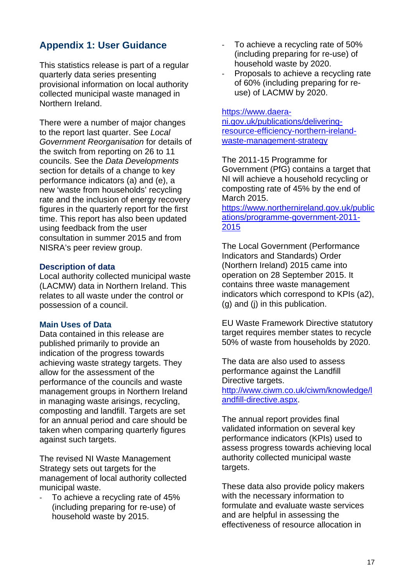# **Appendix 1: User Guidance**

This statistics release is part of a regular quarterly data series presenting provisional information on local authority collected municipal waste managed in Northern Ireland.

There were a number of major changes to the report last quarter. See *Local Government Reorganisation* for details of the switch from reporting on 26 to 11 councils. See the *Data Developments* section for details of a change to key performance indicators (a) and (e), a new 'waste from households' recycling rate and the inclusion of energy recovery figures in the quarterly report for the first time. This report has also been updated using feedback from the user consultation in summer 2015 and from NISRA's peer review group.

#### **Description of data**

Local authority collected municipal waste (LACMW) data in Northern Ireland. This relates to all waste under the control or possession of a council.

#### **Main Uses of Data**

Data contained in this release are published primarily to provide an indication of the progress towards achieving waste strategy targets. They allow for the assessment of the performance of the councils and waste management groups in Northern Ireland in managing waste arisings, recycling, composting and landfill. Targets are set for an annual period and care should be taken when comparing quarterly figures against such targets.

The revised NI Waste Management Strategy sets out targets for the management of local authority collected municipal waste.

‐ To achieve a recycling rate of 45% (including preparing for re-use) of household waste by 2015.

- ‐ To achieve a recycling rate of 50% (including preparing for re-use) of household waste by 2020.
- ‐ Proposals to achieve a recycling rate of 60% (including preparing for reuse) of LACMW by 2020.

#### [https://www.daera-](https://www.daera-ni.gov.uk/publications/delivering-resource-efficiency-northern-ireland-waste-management-strategy)

[ni.gov.uk/publications/delivering](https://www.daera-ni.gov.uk/publications/delivering-resource-efficiency-northern-ireland-waste-management-strategy)[resource-efficiency-northern-ireland](https://www.daera-ni.gov.uk/publications/delivering-resource-efficiency-northern-ireland-waste-management-strategy)[waste-management-strategy](https://www.daera-ni.gov.uk/publications/delivering-resource-efficiency-northern-ireland-waste-management-strategy)

The 2011-15 Programme for Government (PfG) contains a target that NI will achieve a household recycling or composting rate of 45% by the end of March 2015.

[https://www.northernireland.gov.uk/public](https://www.northernireland.gov.uk/publications/programme-government-2011-2015) [ations/programme-government-2011-](https://www.northernireland.gov.uk/publications/programme-government-2011-2015) [2015](https://www.northernireland.gov.uk/publications/programme-government-2011-2015)

The Local Government (Performance Indicators and Standards) Order (Northern Ireland) 2015 came into operation on 28 September 2015. It contains three waste management indicators which correspond to KPIs (a2), (g) and (j) in this publication.

EU Waste Framework Directive statutory target requires member states to recycle 50% of waste from households by 2020.

The data are also used to assess performance against the Landfill Directive targets. [http://www.ciwm.co.uk/ciwm/knowledge/l](http://www.ciwm.co.uk/ciwm/knowledge/landfill-directive.aspx) [andfill-directive.aspx.](http://www.ciwm.co.uk/ciwm/knowledge/landfill-directive.aspx)

The annual report provides final validated information on several key performance indicators (KPIs) used to assess progress towards achieving local authority collected municipal waste targets.

These data also provide policy makers with the necessary information to formulate and evaluate waste services and are helpful in assessing the effectiveness of resource allocation in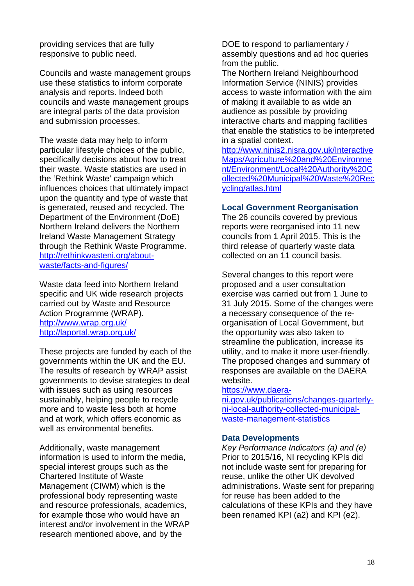providing services that are fully responsive to public need.

Councils and waste management groups use these statistics to inform corporate analysis and reports. Indeed both councils and waste management groups are integral parts of the data provision and submission processes.

The waste data may help to inform particular lifestyle choices of the public, specifically decisions about how to treat their waste. Waste statistics are used in the 'Rethink Waste' campaign which influences choices that ultimately impact upon the quantity and type of waste that is generated, reused and recycled. The Department of the Environment (DoE) Northern Ireland delivers the Northern Ireland Waste Management Strategy through the Rethink Waste Programme. [http://rethinkwasteni.org/about](http://rethinkwasteni.org/about-waste/facts-and-figures/)[waste/facts-and-figures/](http://rethinkwasteni.org/about-waste/facts-and-figures/)

Waste data feed into Northern Ireland specific and UK wide research projects carried out by Waste and Resource Action Programme (WRAP). <http://www.wrap.org.uk/> <http://laportal.wrap.org.uk/>

These projects are funded by each of the governments within the UK and the EU. The results of research by WRAP assist governments to devise strategies to deal with issues such as using resources sustainably, helping people to recycle more and to waste less both at home and at work, which offers economic as well as environmental benefits.

Additionally, waste management information is used to inform the media, special interest groups such as the Chartered Institute of Waste Management (CIWM) which is the professional body representing waste and resource professionals, academics, for example those who would have an interest and/or involvement in the WRAP research mentioned above, and by the

DOE to respond to parliamentary / assembly questions and ad hoc queries from the public.

The Northern Ireland Neighbourhood Information Service (NINIS) provides access to waste information with the aim of making it available to as wide an audience as possible by providing interactive charts and mapping facilities that enable the statistics to be interpreted in a spatial context.

[http://www.ninis2.nisra.gov.uk/Interactive](http://www.ninis2.nisra.gov.uk/InteractiveMaps/Agriculture%20and%20Environment/Environment/Local%20Authority%20Collected%20Municipal%20Waste%20Recycling/atlas.html) [Maps/Agriculture%20and%20Environme](http://www.ninis2.nisra.gov.uk/InteractiveMaps/Agriculture%20and%20Environment/Environment/Local%20Authority%20Collected%20Municipal%20Waste%20Recycling/atlas.html) [nt/Environment/Local%20Authority%20C](http://www.ninis2.nisra.gov.uk/InteractiveMaps/Agriculture%20and%20Environment/Environment/Local%20Authority%20Collected%20Municipal%20Waste%20Recycling/atlas.html) [ollected%20Municipal%20Waste%20Rec](http://www.ninis2.nisra.gov.uk/InteractiveMaps/Agriculture%20and%20Environment/Environment/Local%20Authority%20Collected%20Municipal%20Waste%20Recycling/atlas.html) [ycling/atlas.html](http://www.ninis2.nisra.gov.uk/InteractiveMaps/Agriculture%20and%20Environment/Environment/Local%20Authority%20Collected%20Municipal%20Waste%20Recycling/atlas.html)

## **Local Government Reorganisation**

The 26 councils covered by previous reports were reorganised into 11 new councils from 1 April 2015. This is the third release of quarterly waste data collected on an 11 council basis.

Several changes to this report were proposed and a user consultation exercise was carried out from 1 June to 31 July 2015. Some of the changes were a necessary consequence of the reorganisation of Local Government, but the opportunity was also taken to streamline the publication, increase its utility, and to make it more user-friendly. The proposed changes and summary of responses are available on the DAERA website.

#### [https://www.daera-](https://www.daera-ni.gov.uk/publications/changes-quarterly-ni-local-authority-collected-municipal-waste-management-statistics)

[ni.gov.uk/publications/changes-quarterly](https://www.daera-ni.gov.uk/publications/changes-quarterly-ni-local-authority-collected-municipal-waste-management-statistics)[ni-local-authority-collected-municipal](https://www.daera-ni.gov.uk/publications/changes-quarterly-ni-local-authority-collected-municipal-waste-management-statistics)[waste-management-statistics](https://www.daera-ni.gov.uk/publications/changes-quarterly-ni-local-authority-collected-municipal-waste-management-statistics)

## **Data Developments**

*Key Performance Indicators (a) and (e)*  Prior to 2015/16, NI recycling KPIs did not include waste sent for preparing for reuse, unlike the other UK devolved administrations. Waste sent for preparing for reuse has been added to the calculations of these KPIs and they have been renamed KPI (a2) and KPI (e2).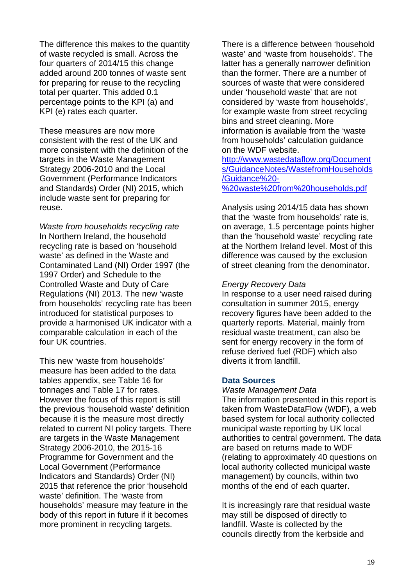The difference this makes to the quantity of waste recycled is small. Across the four quarters of 2014/15 this change added around 200 tonnes of waste sent for preparing for reuse to the recycling total per quarter. This added 0.1 percentage points to the KPI (a) and KPI (e) rates each quarter.

These measures are now more consistent with the rest of the UK and more consistent with the definition of the targets in the Waste Management Strategy 2006-2010 and the Local Government (Performance Indicators and Standards) Order (NI) 2015, which include waste sent for preparing for reuse.

*Waste from households recycling rate*  In Northern Ireland, the household recycling rate is based on 'household waste' as defined in the Waste and Contaminated Land (NI) Order 1997 (the 1997 Order) and Schedule to the Controlled Waste and Duty of Care Regulations (NI) 2013. The new 'waste from households' recycling rate has been introduced for statistical purposes to provide a harmonised UK indicator with a comparable calculation in each of the four UK countries.

This new 'waste from households' measure has been added to the data tables appendix, see Table 16 for tonnages and Table 17 for rates. However the focus of this report is still the previous 'household waste' definition because it is the measure most directly related to current NI policy targets. There are targets in the Waste Management Strategy 2006-2010, the 2015-16 Programme for Government and the Local Government (Performance Indicators and Standards) Order (NI) 2015 that reference the prior 'household waste' definition. The 'waste from households' measure may feature in the body of this report in future if it becomes more prominent in recycling targets.

There is a difference between 'household waste' and 'waste from households'. The latter has a generally narrower definition than the former. There are a number of sources of waste that were considered under 'household waste' that are not considered by 'waste from households', for example waste from street recycling bins and street cleaning. More information is available from the 'waste from households' calculation guidance on the WDF website.

[http://www.wastedataflow.org/Document](http://www.wastedataflow.org/Documents/GuidanceNotes/WastefromHouseholds/Guidance%20-%20waste%20from%20households.pdf) [s/GuidanceNotes/WastefromHouseholds](http://www.wastedataflow.org/Documents/GuidanceNotes/WastefromHouseholds/Guidance%20-%20waste%20from%20households.pdf) [/Guidance%20-](http://www.wastedataflow.org/Documents/GuidanceNotes/WastefromHouseholds/Guidance%20-%20waste%20from%20households.pdf)

[%20waste%20from%20households.pdf](http://www.wastedataflow.org/Documents/GuidanceNotes/WastefromHouseholds/Guidance%20-%20waste%20from%20households.pdf)

Analysis using 2014/15 data has shown that the 'waste from households' rate is, on average, 1.5 percentage points higher than the 'household waste' recycling rate at the Northern Ireland level. Most of this difference was caused by the exclusion of street cleaning from the denominator.

### *Energy Recovery Data*

In response to a user need raised during consultation in summer 2015, energy recovery figures have been added to the quarterly reports. Material, mainly from residual waste treatment, can also be sent for energy recovery in the form of refuse derived fuel (RDF) which also diverts it from landfill.

#### **Data Sources**

*Waste Management Data*  The information presented in this report is taken from WasteDataFlow (WDF), a web based system for local authority collected municipal waste reporting by UK local authorities to central government. The data are based on returns made to WDF (relating to approximately 40 questions on local authority collected municipal waste management) by councils, within two months of the end of each quarter.

It is increasingly rare that residual waste may still be disposed of directly to landfill. Waste is collected by the councils directly from the kerbside and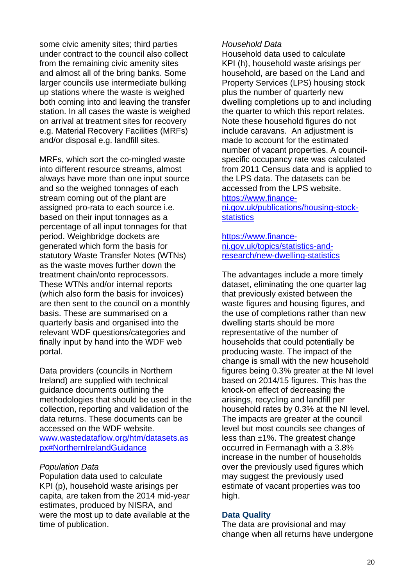some civic amenity sites; third parties under contract to the council also collect from the remaining civic amenity sites and almost all of the bring banks. Some larger councils use intermediate bulking up stations where the waste is weighed both coming into and leaving the transfer station. In all cases the waste is weighed on arrival at treatment sites for recovery e.g. Material Recovery Facilities (MRFs) and/or disposal e.g. landfill sites.

MRFs, which sort the co-mingled waste into different resource streams, almost always have more than one input source and so the weighed tonnages of each stream coming out of the plant are assigned pro-rata to each source i.e. based on their input tonnages as a percentage of all input tonnages for that period. Weighbridge dockets are generated which form the basis for statutory Waste Transfer Notes (WTNs) as the waste moves further down the treatment chain/onto reprocessors. These WTNs and/or internal reports (which also form the basis for invoices) are then sent to the council on a monthly basis. These are summarised on a quarterly basis and organised into the relevant WDF questions/categories and finally input by hand into the WDF web portal.

Data providers (councils in Northern Ireland) are supplied with technical guidance documents outlining the methodologies that should be used in the collection, reporting and validation of the data returns. These documents can be accessed on the WDF website. www.wastedataflow.org/htm/datasets.as px#NorthernIrelandGuidance

#### *Population Data*

Population data used to calculate KPI (p), household waste arisings per capita, are taken from the 2014 mid-year estimates, produced by NISRA, and were the most up to date available at the time of publication.

### *Household Data*

Household data used to calculate KPI (h), household waste arisings per household, are based on the Land and Property Services (LPS) housing stock plus the number of quarterly new dwelling completions up to and including the quarter to which this report relates. Note these household figures do not include caravans. An adjustment is made to account for the estimated number of vacant properties. A councilspecific occupancy rate was calculated from 2011 Census data and is applied to the LPS data. The datasets can be accessed from the LPS website. [https://www.finance](https://www.finance-ni.gov.uk/publications/housing-stock-statistics)[ni.gov.uk/publications/housing-stock](https://www.finance-ni.gov.uk/publications/housing-stock-statistics)**statistics** 

[https://www.finance-](https://www.finance-ni.gov.uk/topics/statistics-and-research/new-dwelling-statistics)

# [ni.gov.uk/topics/statistics-and](https://www.finance-ni.gov.uk/topics/statistics-and-research/new-dwelling-statistics)[research/new-dwelling-statistics](https://www.finance-ni.gov.uk/topics/statistics-and-research/new-dwelling-statistics)

The advantages include a more timely dataset, eliminating the one quarter lag that previously existed between the waste figures and housing figures, and the use of completions rather than new dwelling starts should be more representative of the number of households that could potentially be producing waste. The impact of the change is small with the new household figures being 0.3% greater at the NI level based on 2014/15 figures. This has the knock-on effect of decreasing the arisings, recycling and landfill per household rates by 0.3% at the NI level. The impacts are greater at the council level but most councils see changes of less than ±1%. The greatest change occurred in Fermanagh with a 3.8% increase in the number of households over the previously used figures which may suggest the previously used estimate of vacant properties was too high.

## **Data Quality**

The data are provisional and may change when all returns have undergone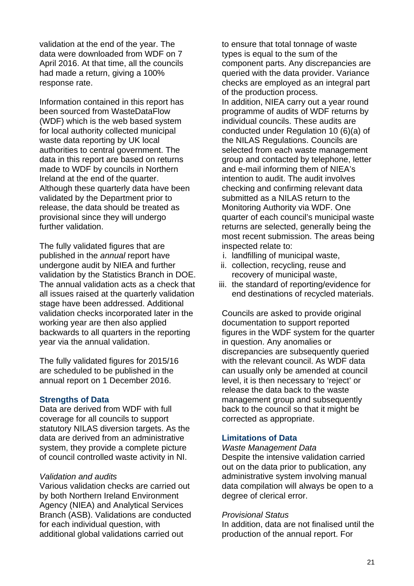validation at the end of the year. The data were downloaded from WDF on 7 April 2016. At that time, all the councils had made a return, giving a 100% response rate.

Information contained in this report has been sourced from WasteDataFlow (WDF) which is the web based system for local authority collected municipal waste data reporting by UK local authorities to central government. The data in this report are based on returns made to WDF by councils in Northern Ireland at the end of the quarter. Although these quarterly data have been validated by the Department prior to release, the data should be treated as provisional since they will undergo further validation.

The fully validated figures that are published in the *annual* report have undergone audit by NIEA and further validation by the Statistics Branch in DOE. The annual validation acts as a check that all issues raised at the quarterly validation stage have been addressed. Additional validation checks incorporated later in the working year are then also applied backwards to all quarters in the reporting year via the annual validation.

The fully validated figures for 2015/16 are scheduled to be published in the annual report on 1 December 2016.

#### **Strengths of Data**

Data are derived from WDF with full coverage for all councils to support statutory NILAS diversion targets. As the data are derived from an administrative system, they provide a complete picture of council controlled waste activity in NI.

### *Validation and audits*

Various validation checks are carried out by both Northern Ireland Environment Agency (NIEA) and Analytical Services Branch (ASB). Validations are conducted for each individual question, with additional global validations carried out

to ensure that total tonnage of waste types is equal to the sum of the component parts. Any discrepancies are queried with the data provider. Variance checks are employed as an integral part of the production process. In addition, NIEA carry out a year round programme of audits of WDF returns by individual councils. These audits are conducted under Regulation 10 (6)(a) of the NILAS Regulations. Councils are selected from each waste management group and contacted by telephone, letter and e-mail informing them of NIEA's intention to audit. The audit involves checking and confirming relevant data submitted as a NILAS return to the Monitoring Authority via WDF. One quarter of each council's municipal waste returns are selected, generally being the most recent submission. The areas being inspected relate to:

- i. landfilling of municipal waste,
- ii. collection, recycling, reuse and recovery of municipal waste,
- iii. the standard of reporting/evidence for end destinations of recycled materials.

Councils are asked to provide original documentation to support reported figures in the WDF system for the quarter in question. Any anomalies or discrepancies are subsequently queried with the relevant council. As WDF data can usually only be amended at council level, it is then necessary to 'reject' or release the data back to the waste management group and subsequently back to the council so that it might be corrected as appropriate.

#### **Limitations of Data**

#### *Waste Management Data*

Despite the intensive validation carried out on the data prior to publication, any administrative system involving manual data compilation will always be open to a degree of clerical error.

#### *Provisional Status*

In addition, data are not finalised until the production of the annual report. For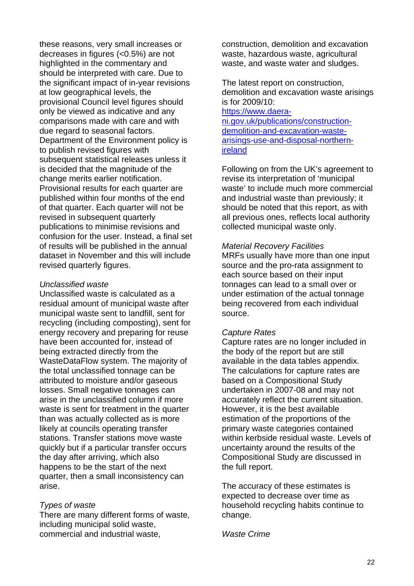these reasons, very small increases or decreases in figures (<0.5%) are not highlighted in the commentary and should be interpreted with care. Due to the significant impact of in-year revisions at low geographical levels, the provisional Council level figures should only be viewed as indicative and any comparisons made with care and with due regard to seasonal factors. Department of the Environment policy is to publish revised figures with subsequent statistical releases unless it is decided that the magnitude of the change merits earlier notification. Provisional results for each quarter are published within four months of the end of that quarter. Each quarter will not be revised in subsequent quarterly publications to minimise revisions and confusion for the user. Instead, a final set of results will be published in the annual dataset in November and this will include revised quarterly figures.

#### *Unclassified waste*

Unclassified waste is calculated as a residual amount of municipal waste after municipal waste sent to landfill, sent for recycling (including composting), sent for energy recovery and preparing for reuse have been accounted for, instead of being extracted directly from the WasteDataFlow system. The majority of the total unclassified tonnage can be attributed to moisture and/or gaseous losses. Small negative tonnages can arise in the unclassified column if more waste is sent for treatment in the quarter than was actually collected as is more likely at councils operating transfer stations. Transfer stations move waste quickly but if a particular transfer occurs the day after arriving, which also happens to be the start of the next quarter, then a small inconsistency can arise.

#### *Types of waste*

There are many different forms of waste, including municipal solid waste, commercial and industrial waste,

construction, demolition and excavation waste, hazardous waste, agricultural waste, and waste water and sludges.

The latest report on construction, demolition and excavation waste arisings is for 2009/10:

[https://www.daera](https://www.daera-ni.gov.uk/publications/construction-demolition-and-excavation-waste-arisings-use-and-disposal-northern-ireland)[ni.gov.uk/publications/construction](https://www.daera-ni.gov.uk/publications/construction-demolition-and-excavation-waste-arisings-use-and-disposal-northern-ireland)[demolition-and-excavation-waste](https://www.daera-ni.gov.uk/publications/construction-demolition-and-excavation-waste-arisings-use-and-disposal-northern-ireland)[arisings-use-and-disposal-northern](https://www.daera-ni.gov.uk/publications/construction-demolition-and-excavation-waste-arisings-use-and-disposal-northern-ireland)[ireland](https://www.daera-ni.gov.uk/publications/construction-demolition-and-excavation-waste-arisings-use-and-disposal-northern-ireland) 

Following on from the UK's agreement to revise its interpretation of 'municipal waste' to include much more commercial and industrial waste than previously; it should be noted that this report, as with all previous ones, reflects local authority collected municipal waste only.

#### *Material Recovery Facilities*

MRFs usually have more than one input source and the pro-rata assignment to each source based on their input tonnages can lead to a small over or under estimation of the actual tonnage being recovered from each individual source.

#### *Capture Rates*

Capture rates are no longer included in the body of the report but are still available in the data tables appendix. The calculations for capture rates are based on a Compositional Study undertaken in 2007-08 and may not accurately reflect the current situation. However, it is the best available estimation of the proportions of the primary waste categories contained within kerbside residual waste. Levels of uncertainty around the results of the Compositional Study are discussed in the full report.

The accuracy of these estimates is expected to decrease over time as household recycling habits continue to change.

#### *Waste Crime*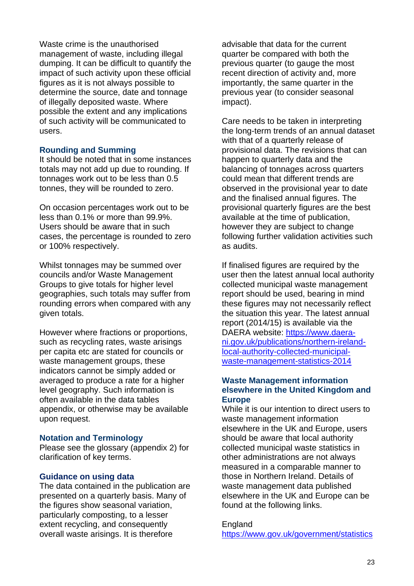Waste crime is the unauthorised management of waste, including illegal dumping. It can be difficult to quantify the impact of such activity upon these official figures as it is not always possible to determine the source, date and tonnage of illegally deposited waste. Where possible the extent and any implications of such activity will be communicated to users.

#### **Rounding and Summing**

It should be noted that in some instances totals may not add up due to rounding. If tonnages work out to be less than 0.5 tonnes, they will be rounded to zero.

On occasion percentages work out to be less than 0.1% or more than 99.9%. Users should be aware that in such cases, the percentage is rounded to zero or 100% respectively.

Whilst tonnages may be summed over councils and/or Waste Management Groups to give totals for higher level geographies, such totals may suffer from rounding errors when compared with any given totals.

However where fractions or proportions, such as recycling rates, waste arisings per capita etc are stated for councils or waste management groups, these indicators cannot be simply added or averaged to produce a rate for a higher level geography. Such information is often available in the data tables appendix, or otherwise may be available upon request.

#### **Notation and Terminology**

Please see the glossary (appendix 2) for clarification of key terms.

## **Guidance on using data**

The data contained in the publication are presented on a quarterly basis. Many of the figures show seasonal variation, particularly composting, to a lesser extent recycling, and consequently overall waste arisings. It is therefore

advisable that data for the current quarter be compared with both the previous quarter (to gauge the most recent direction of activity and, more importantly, the same quarter in the previous year (to consider seasonal impact).

Care needs to be taken in interpreting the long-term trends of an annual dataset with that of a quarterly release of provisional data. The revisions that can happen to quarterly data and the balancing of tonnages across quarters could mean that different trends are observed in the provisional year to date and the finalised annual figures. The provisional quarterly figures are the best available at the time of publication, however they are subject to change following further validation activities such as audits.

If finalised figures are required by the user then the latest annual local authority collected municipal waste management report should be used, bearing in mind these figures may not necessarily reflect the situation this year. The latest annual report (2014/15) is available via the DAERA website: [https://www.daera](https://www.daera-ni.gov.uk/publications/northern-ireland-local-authority-collected-municipal-waste-management-statistics-2014)[ni.gov.uk/publications/northern-ireland](https://www.daera-ni.gov.uk/publications/northern-ireland-local-authority-collected-municipal-waste-management-statistics-2014)[local-authority-collected-municipal](https://www.daera-ni.gov.uk/publications/northern-ireland-local-authority-collected-municipal-waste-management-statistics-2014)[waste-management-statistics-2014](https://www.daera-ni.gov.uk/publications/northern-ireland-local-authority-collected-municipal-waste-management-statistics-2014) 

## **Waste Management information elsewhere in the United Kingdom and Europe**

While it is our intention to direct users to waste management information elsewhere in the UK and Europe, users should be aware that local authority collected municipal waste statistics in other administrations are not always measured in a comparable manner to those in Northern Ireland. Details of waste management data published elsewhere in the UK and Europe can be found at the following links.

#### **England**

[https://www.gov.uk/government/statistics](https://www.gov.uk/government/statistics/local-authority-collected-waste-for-england-quarterly-estimates)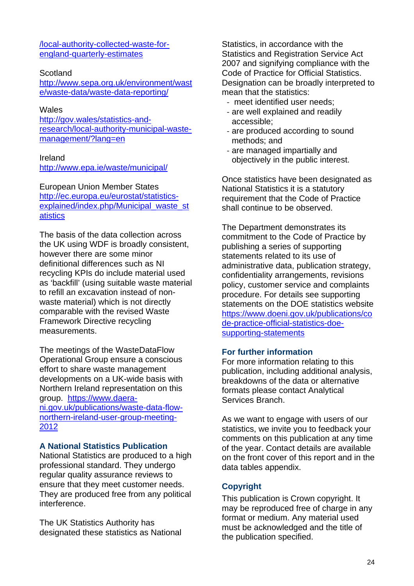[/local-authority-collected-waste-for](https://www.gov.uk/government/statistics/local-authority-collected-waste-for-england-quarterly-estimates)[england-quarterly-estimates](https://www.gov.uk/government/statistics/local-authority-collected-waste-for-england-quarterly-estimates)

### **Scotland**

[http://www.sepa.org.uk/environment/wast](http://www.sepa.org.uk/environment/waste/waste-data/waste-data-reporting/) [e/waste-data/waste-data-reporting/](http://www.sepa.org.uk/environment/waste/waste-data/waste-data-reporting/)

### **Wales**

[http://gov.wales/statistics-and](http://gov.wales/statistics-and-research/local-authority-municipal-waste-management/?lang=en)[research/local-authority-municipal-waste](http://gov.wales/statistics-and-research/local-authority-municipal-waste-management/?lang=en)[management/?lang=en](http://gov.wales/statistics-and-research/local-authority-municipal-waste-management/?lang=en)

### Ireland

<http://www.epa.ie/waste/municipal/>

European Union Member States [http://ec.europa.eu/eurostat/statistics](http://ec.europa.eu/eurostat/statistics-explained/index.php/Municipal_waste_statistics)[explained/index.php/Municipal\\_waste\\_st](http://ec.europa.eu/eurostat/statistics-explained/index.php/Municipal_waste_statistics) [atistics](http://ec.europa.eu/eurostat/statistics-explained/index.php/Municipal_waste_statistics)

The basis of the data collection across the UK using WDF is broadly consistent, however there are some minor definitional differences such as NI recycling KPIs do include material used as 'backfill' (using suitable waste material to refill an excavation instead of nonwaste material) which is not directly comparable with the revised Waste Framework Directive recycling measurements.

The meetings of the WasteDataFlow Operational Group ensure a conscious effort to share waste management developments on a UK-wide basis with Northern Ireland representation on this group. [https://www.daera](https://www.daera-ni.gov.uk/publications/waste-data-flow-northern-ireland-user-group-meeting-2012)[ni.gov.uk/publications/waste-data-flow](https://www.daera-ni.gov.uk/publications/waste-data-flow-northern-ireland-user-group-meeting-2012)[northern-ireland-user-group-meeting-](https://www.daera-ni.gov.uk/publications/waste-data-flow-northern-ireland-user-group-meeting-2012)[2012](https://www.daera-ni.gov.uk/publications/waste-data-flow-northern-ireland-user-group-meeting-2012)

## **A National Statistics Publication**

National Statistics are produced to a high professional standard. They undergo regular quality assurance reviews to ensure that they meet customer needs. They are produced free from any political interference.

The UK Statistics Authority has designated these statistics as National

Statistics, in accordance with the Statistics and Registration Service Act 2007 and signifying compliance with the Code of Practice for Official Statistics. Designation can be broadly interpreted to mean that the statistics:

- ‐ meet identified user needs;
- ‐ are well explained and readily accessible;
- ‐ are produced according to sound methods; and
- ‐ are managed impartially and objectively in the public interest.

Once statistics have been designated as National Statistics it is a statutory requirement that the Code of Practice shall continue to be observed.

The Department demonstrates its commitment to the Code of Practice by publishing a series of supporting statements related to its use of administrative data, publication strategy, confidentiality arrangements, revisions policy, customer service and complaints procedure. For details see supporting statements on the DOE statistics website [https://www.doeni.gov.uk/publications/co](https://www.doeni.gov.uk/publications/code-practice-official-statistics-doe-supporting-statements) [de-practice-official-statistics-doe](https://www.doeni.gov.uk/publications/code-practice-official-statistics-doe-supporting-statements)[supporting-statements](https://www.doeni.gov.uk/publications/code-practice-official-statistics-doe-supporting-statements)

## **For further information**

For more information relating to this publication, including additional analysis, breakdowns of the data or alternative formats please contact Analytical Services Branch.

As we want to engage with users of our statistics, we invite you to feedback your comments on this publication at any time of the year. Contact details are available on the front cover of this report and in the data tables appendix.

# **Copyright**

This publication is Crown copyright. It may be reproduced free of charge in any format or medium. Any material used must be acknowledged and the title of the publication specified.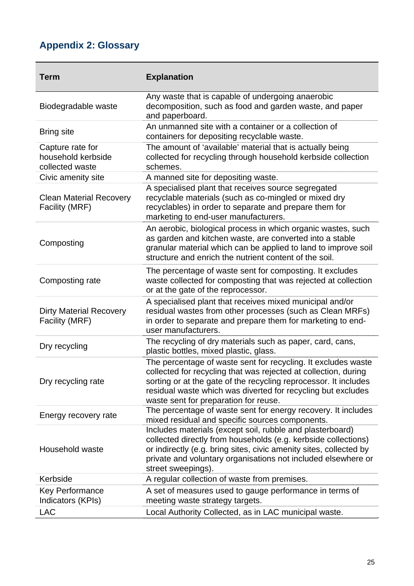# **Appendix 2: Glossary**

| <b>Term</b>                                               | <b>Explanation</b>                                                                                                                                                                                                                                                                                            |
|-----------------------------------------------------------|---------------------------------------------------------------------------------------------------------------------------------------------------------------------------------------------------------------------------------------------------------------------------------------------------------------|
| Biodegradable waste                                       | Any waste that is capable of undergoing anaerobic<br>decomposition, such as food and garden waste, and paper<br>and paperboard.                                                                                                                                                                               |
| <b>Bring site</b>                                         | An unmanned site with a container or a collection of<br>containers for depositing recyclable waste.                                                                                                                                                                                                           |
| Capture rate for<br>household kerbside<br>collected waste | The amount of 'available' material that is actually being<br>collected for recycling through household kerbside collection<br>schemes.                                                                                                                                                                        |
| Civic amenity site                                        | A manned site for depositing waste.                                                                                                                                                                                                                                                                           |
| <b>Clean Material Recovery</b><br>Facility (MRF)          | A specialised plant that receives source segregated<br>recyclable materials (such as co-mingled or mixed dry<br>recyclables) in order to separate and prepare them for<br>marketing to end-user manufacturers.                                                                                                |
| Composting                                                | An aerobic, biological process in which organic wastes, such<br>as garden and kitchen waste, are converted into a stable<br>granular material which can be applied to land to improve soil<br>structure and enrich the nutrient content of the soil.                                                          |
| Composting rate                                           | The percentage of waste sent for composting. It excludes<br>waste collected for composting that was rejected at collection<br>or at the gate of the reprocessor.                                                                                                                                              |
| <b>Dirty Material Recovery</b><br>Facility (MRF)          | A specialised plant that receives mixed municipal and/or<br>residual wastes from other processes (such as Clean MRFs)<br>in order to separate and prepare them for marketing to end-<br>user manufacturers.                                                                                                   |
| Dry recycling                                             | The recycling of dry materials such as paper, card, cans,<br>plastic bottles, mixed plastic, glass.                                                                                                                                                                                                           |
| Dry recycling rate                                        | The percentage of waste sent for recycling. It excludes waste<br>collected for recycling that was rejected at collection, during<br>sorting or at the gate of the recycling reprocessor. It includes<br>residual waste which was diverted for recycling but excludes<br>waste sent for preparation for reuse. |
| Energy recovery rate                                      | The percentage of waste sent for energy recovery. It includes<br>mixed residual and specific sources components.                                                                                                                                                                                              |
| Household waste                                           | Includes materials (except soil, rubble and plasterboard)<br>collected directly from households (e.g. kerbside collections)<br>or indirectly (e.g. bring sites, civic amenity sites, collected by<br>private and voluntary organisations not included elsewhere or<br>street sweepings).                      |
| Kerbside                                                  | A regular collection of waste from premises.                                                                                                                                                                                                                                                                  |
| Key Performance<br>Indicators (KPIs)                      | A set of measures used to gauge performance in terms of<br>meeting waste strategy targets.                                                                                                                                                                                                                    |
| <b>LAC</b>                                                | Local Authority Collected, as in LAC municipal waste.                                                                                                                                                                                                                                                         |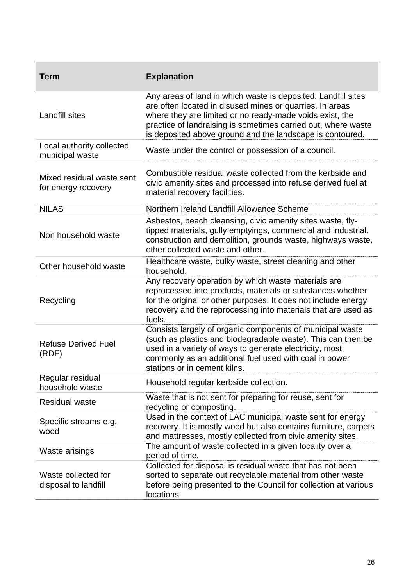| Term                                             | <b>Explanation</b>                                                                                                                                                                                                                                                                                                  |
|--------------------------------------------------|---------------------------------------------------------------------------------------------------------------------------------------------------------------------------------------------------------------------------------------------------------------------------------------------------------------------|
| <b>Landfill sites</b>                            | Any areas of land in which waste is deposited. Landfill sites<br>are often located in disused mines or quarries. In areas<br>where they are limited or no ready-made voids exist, the<br>practice of landraising is sometimes carried out, where waste<br>is deposited above ground and the landscape is contoured. |
| Local authority collected<br>municipal waste     | Waste under the control or possession of a council.                                                                                                                                                                                                                                                                 |
| Mixed residual waste sent<br>for energy recovery | Combustible residual waste collected from the kerbside and<br>civic amenity sites and processed into refuse derived fuel at<br>material recovery facilities.                                                                                                                                                        |
| <b>NILAS</b>                                     | Northern Ireland Landfill Allowance Scheme                                                                                                                                                                                                                                                                          |
| Non household waste                              | Asbestos, beach cleansing, civic amenity sites waste, fly-<br>tipped materials, gully emptyings, commercial and industrial,<br>construction and demolition, grounds waste, highways waste,<br>other collected waste and other.                                                                                      |
| Other household waste                            | Healthcare waste, bulky waste, street cleaning and other<br>household.                                                                                                                                                                                                                                              |
| Recycling                                        | Any recovery operation by which waste materials are<br>reprocessed into products, materials or substances whether<br>for the original or other purposes. It does not include energy<br>recovery and the reprocessing into materials that are used as<br>fuels.                                                      |
| <b>Refuse Derived Fuel</b><br>(RDF)              | Consists largely of organic components of municipal waste<br>(such as plastics and biodegradable waste). This can then be<br>used in a variety of ways to generate electricity, most<br>commonly as an additional fuel used with coal in power<br>stations or in cement kilns.                                      |
| Regular residual<br>household waste              | Household regular kerbside collection.                                                                                                                                                                                                                                                                              |
| <b>Residual waste</b>                            | Waste that is not sent for preparing for reuse, sent for<br>recycling or composting.                                                                                                                                                                                                                                |
| Specific streams e.g.<br>wood                    | Used in the context of LAC municipal waste sent for energy<br>recovery. It is mostly wood but also contains furniture, carpets<br>and mattresses, mostly collected from civic amenity sites.                                                                                                                        |
| Waste arisings                                   | The amount of waste collected in a given locality over a<br>period of time.                                                                                                                                                                                                                                         |
| Waste collected for<br>disposal to landfill      | Collected for disposal is residual waste that has not been<br>sorted to separate out recyclable material from other waste<br>before being presented to the Council for collection at various<br>locations.                                                                                                          |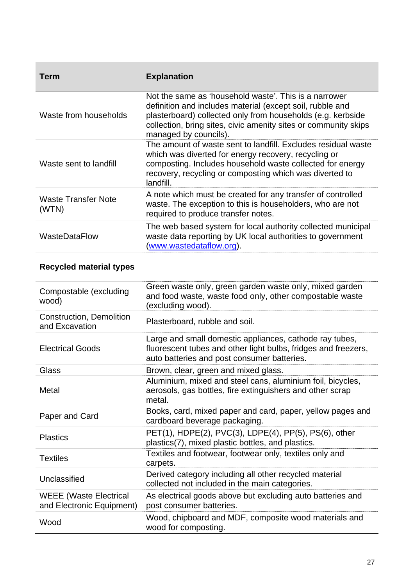| Term                                | <b>Explanation</b>                                                                                                                                                                                                                                                            |
|-------------------------------------|-------------------------------------------------------------------------------------------------------------------------------------------------------------------------------------------------------------------------------------------------------------------------------|
| Waste from households               | Not the same as 'household waste'. This is a narrower<br>definition and includes material (except soil, rubble and<br>plasterboard) collected only from households (e.g. kerbside<br>collection, bring sites, civic amenity sites or community skips<br>managed by councils). |
| Waste sent to landfill              | The amount of waste sent to landfill. Excludes residual waste<br>which was diverted for energy recovery, recycling or<br>composting. Includes household waste collected for energy<br>recovery, recycling or composting which was diverted to<br>landfill.                    |
| <b>Waste Transfer Note</b><br>(WTN) | A note which must be created for any transfer of controlled<br>waste. The exception to this is householders, who are not<br>required to produce transfer notes.                                                                                                               |
| <b>WasteDataFlow</b>                | The web based system for local authority collected municipal<br>waste data reporting by UK local authorities to government<br>(www.wastedataflow.org).                                                                                                                        |

# **Recycled material types**

| Compostable (excluding<br>wood)                            | Green waste only, green garden waste only, mixed garden<br>and food waste, waste food only, other compostable waste<br>(excluding wood).                                 |
|------------------------------------------------------------|--------------------------------------------------------------------------------------------------------------------------------------------------------------------------|
| <b>Construction, Demolition</b><br>and Excavation          | Plasterboard, rubble and soil.                                                                                                                                           |
| <b>Electrical Goods</b>                                    | Large and small domestic appliances, cathode ray tubes,<br>fluorescent tubes and other light bulbs, fridges and freezers,<br>auto batteries and post consumer batteries. |
| Glass                                                      | Brown, clear, green and mixed glass.                                                                                                                                     |
| Metal                                                      | Aluminium, mixed and steel cans, aluminium foil, bicycles,<br>aerosols, gas bottles, fire extinguishers and other scrap<br>metal.                                        |
| Paper and Card                                             | Books, card, mixed paper and card, paper, yellow pages and<br>cardboard beverage packaging.                                                                              |
| <b>Plastics</b>                                            | PET(1), HDPE(2), PVC(3), LDPE(4), PP(5), PS(6), other<br>plastics(7), mixed plastic bottles, and plastics.                                                               |
| <b>Textiles</b>                                            | Textiles and footwear, footwear only, textiles only and<br>carpets.                                                                                                      |
| Unclassified                                               | Derived category including all other recycled material<br>collected not included in the main categories.                                                                 |
| <b>WEEE</b> (Waste Electrical<br>and Electronic Equipment) | As electrical goods above but excluding auto batteries and<br>post consumer batteries.                                                                                   |
| Wood                                                       | Wood, chipboard and MDF, composite wood materials and<br>wood for composting.                                                                                            |